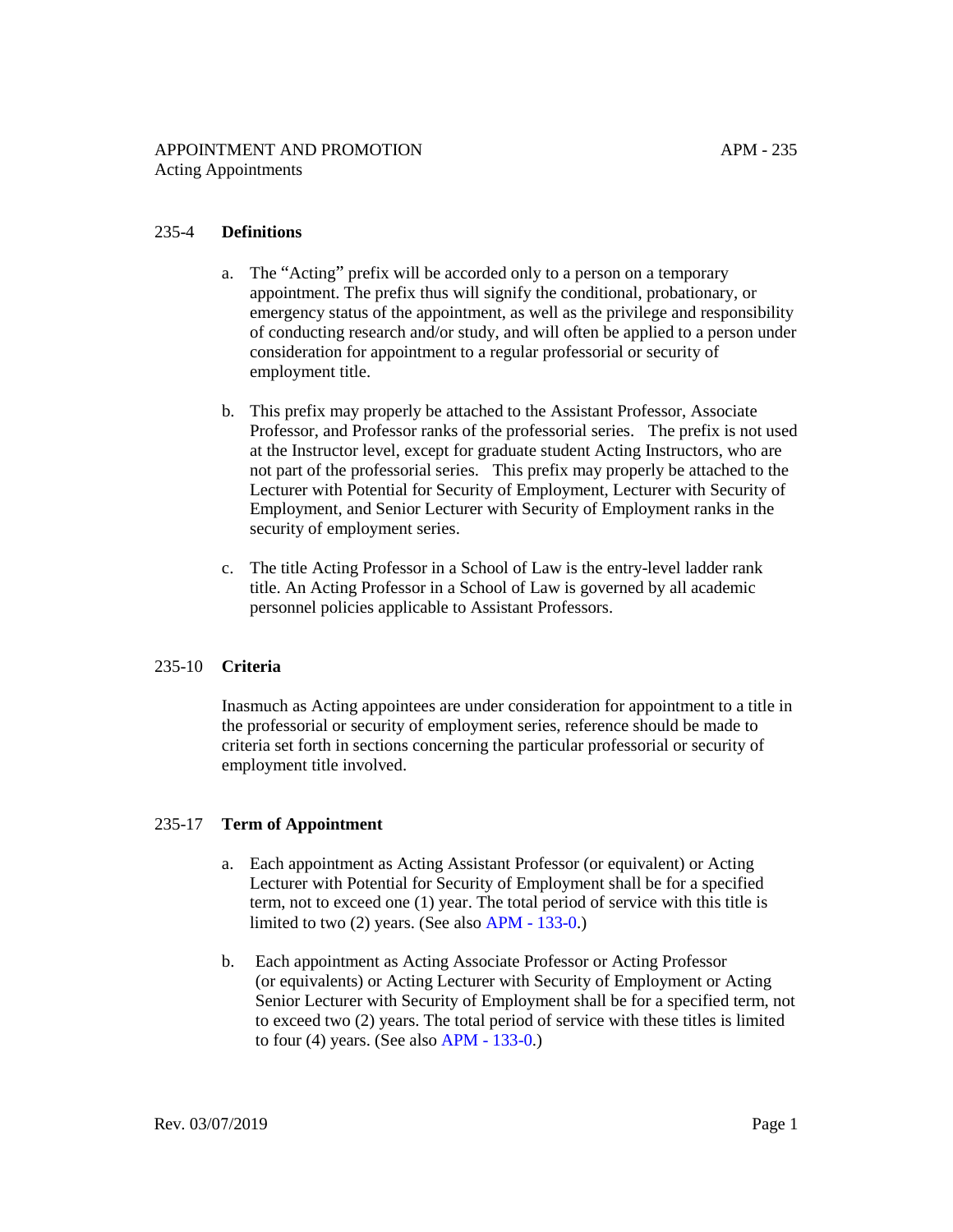# 235-4 **Definitions**

- a. The "Acting" prefix will be accorded only to a person on a temporary appointment. The prefix thus will signify the conditional, probationary, or emergency status of the appointment, as well as the privilege and responsibility of conducting research and/or study, and will often be applied to a person under consideration for appointment to a regular professorial or security of employment title.
- b. This prefix may properly be attached to the Assistant Professor, Associate Professor, and Professor ranks of the professorial series. The prefix is not used at the Instructor level, except for graduate student Acting Instructors, who are not part of the professorial series. This prefix may properly be attached to the Lecturer with Potential for Security of Employment, Lecturer with Security of Employment, and Senior Lecturer with Security of Employment ranks in the security of employment series.
- c. The title Acting Professor in a School of Law is the entry-level ladder rank title. An Acting Professor in a School of Law is governed by all academic personnel policies applicable to Assistant Professors.

# 235-10 **Criteria**

Inasmuch as Acting appointees are under consideration for appointment to a title in the professorial or security of employment series, reference should be made to criteria set forth in sections concerning the particular professorial or security of employment title involved.

# 235-17 **Term of Appointment**

- a. Each appointment as Acting Assistant Professor (or equivalent) or Acting Lecturer with Potential for Security of Employment shall be for a specified term, not to exceed one (1) year. The total period of service with this title is limited to two (2) years. (See also [APM - 133-0.](https://www.ucop.edu/academic-personnel-programs/_files/apm/apm-133.pdf))
- b. Each appointment as Acting Associate Professor or Acting Professor (or equivalents) or Acting Lecturer with Security of Employment or Acting Senior Lecturer with Security of Employment shall be for a specified term, not to exceed two (2) years. The total period of service with these titles is limited to four (4) years. (See also [APM - 133-0.](https://www.ucop.edu/academic-personnel-programs/_files/apm/apm-133.pdf))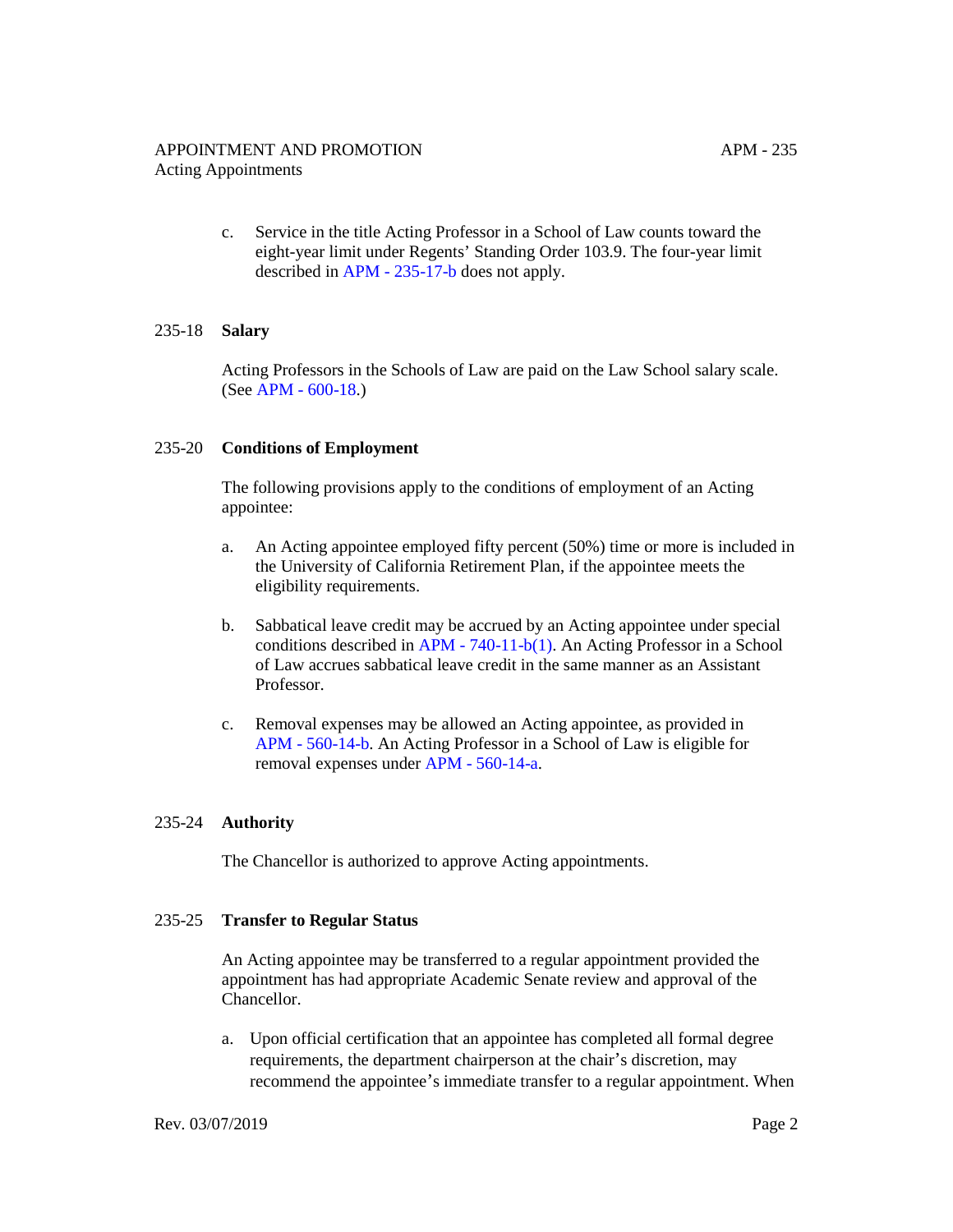c. Service in the title Acting Professor in a School of Law counts toward the eight-year limit under Regents' Standing Order 103.9. The four-year limit described in [APM - 235-17-b](https://www.ucop.edu/academic-personnel-programs/_files/apm/apm-235.pdf) does not apply.

# 235-18 **Salary**

Acting Professors in the Schools of Law are paid on the Law School salary scale. (See [APM - 600-18.](https://www.ucop.edu/academic-personnel-programs/_files/apm/apm-600.pdf))

#### 235-20 **Conditions of Employment**

The following provisions apply to the conditions of employment of an Acting appointee:

- a. An Acting appointee employed fifty percent (50%) time or more is included in the University of California Retirement Plan, if the appointee meets the eligibility requirements.
- b. Sabbatical leave credit may be accrued by an Acting appointee under special conditions described in [APM - 740-11-b\(1\).](https://www.ucop.edu/academic-personnel-programs/_files/apm/apm-740.pdf) An Acting Professor in a School of Law accrues sabbatical leave credit in the same manner as an Assistant Professor.
- c. Removal expenses may be allowed an Acting appointee, as provided in [APM - 560-14-b.](https://www.ucop.edu/academic-personnel-programs/_files/apm/apm-560.pdf) An Acting Professor in a School of Law is eligible for removal expenses under [APM - 560-14-a.](https://www.ucop.edu/academic-personnel-programs/_files/apm/apm-560.pdf)

### 235-24 **Authority**

The Chancellor is authorized to approve Acting appointments.

### 235-25 **Transfer to Regular Status**

An Acting appointee may be transferred to a regular appointment provided the appointment has had appropriate Academic Senate review and approval of the Chancellor.

a. Upon official certification that an appointee has completed all formal degree requirements, the department chairperson at the chair's discretion, may recommend the appointee's immediate transfer to a regular appointment. When